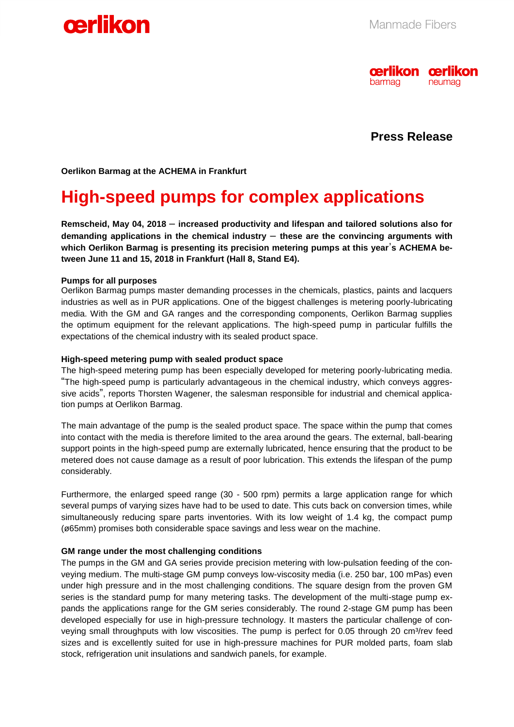



**Press Release**

**Oerlikon Barmag at the ACHEMA in Frankfurt** 

## **High-speed pumps for complex applications**

**Remscheid, May 04, 2018** – **increased productivity and lifespan and tailored solutions also for demanding applications in the chemical industry** – **these are the convincing arguments with which Oerlikon Barmag is presenting its precision metering pumps at this year**'**s ACHEMA between June 11 and 15, 2018 in Frankfurt (Hall 8, Stand E4).** 

#### **Pumps for all purposes**

Oerlikon Barmag pumps master demanding processes in the chemicals, plastics, paints and lacquers industries as well as in PUR applications. One of the biggest challenges is metering poorly-lubricating media. With the GM and GA ranges and the corresponding components, Oerlikon Barmag supplies the optimum equipment for the relevant applications. The high-speed pump in particular fulfills the expectations of the chemical industry with its sealed product space.

### **High-speed metering pump with sealed product space**

The high-speed metering pump has been especially developed for metering poorly-lubricating media. "The high-speed pump is particularly advantageous in the chemical industry, which conveys aggressive acids", reports Thorsten Wagener, the salesman responsible for industrial and chemical application pumps at Oerlikon Barmag.

The main advantage of the pump is the sealed product space. The space within the pump that comes into contact with the media is therefore limited to the area around the gears. The external, ball-bearing support points in the high-speed pump are externally lubricated, hence ensuring that the product to be metered does not cause damage as a result of poor lubrication. This extends the lifespan of the pump considerably.

Furthermore, the enlarged speed range (30 - 500 rpm) permits a large application range for which several pumps of varying sizes have had to be used to date. This cuts back on conversion times, while simultaneously reducing spare parts inventories. With its low weight of 1.4 kg, the compact pump (ø65mm) promises both considerable space savings and less wear on the machine.

#### **GM range under the most challenging conditions**

The pumps in the GM and GA series provide precision metering with low-pulsation feeding of the conveying medium. The multi-stage GM pump conveys low-viscosity media (i.e. 250 bar, 100 mPas) even under high pressure and in the most challenging conditions. The square design from the proven GM series is the standard pump for many metering tasks. The development of the multi-stage pump expands the applications range for the GM series considerably. The round 2-stage GM pump has been developed especially for use in high-pressure technology. It masters the particular challenge of conveying small throughputs with low viscosities. The pump is perfect for  $0.05$  through 20 cm<sup>3</sup>/rev feed sizes and is excellently suited for use in high-pressure machines for PUR molded parts, foam slab stock, refrigeration unit insulations and sandwich panels, for example.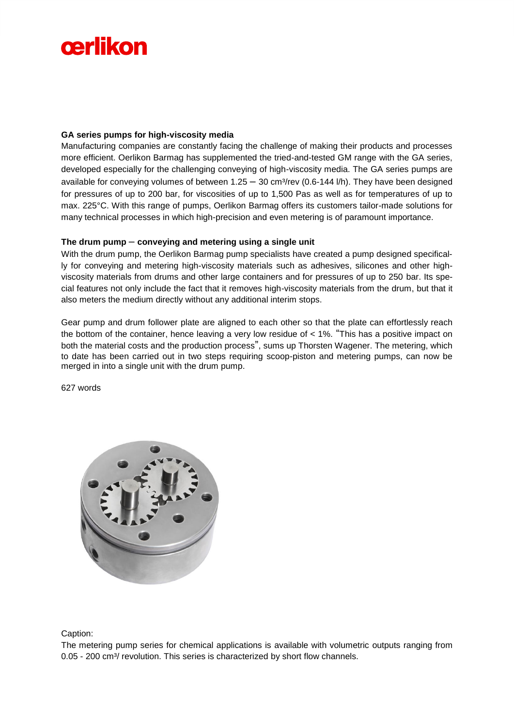# cerlikon

### **GA series pumps for high-viscosity media**

Manufacturing companies are constantly facing the challenge of making their products and processes more efficient. Oerlikon Barmag has supplemented the tried-and-tested GM range with the GA series, developed especially for the challenging conveying of high-viscosity media. The GA series pumps are available for conveying volumes of between  $1.25 - 30$  cm<sup>3</sup>/rev (0.6-144 l/h). They have been designed for pressures of up to 200 bar, for viscosities of up to 1,500 Pas as well as for temperatures of up to max. 225°C. With this range of pumps, Oerlikon Barmag offers its customers tailor-made solutions for many technical processes in which high-precision and even metering is of paramount importance.

### **The drum pump** – **conveying and metering using a single unit**

With the drum pump, the Oerlikon Barmag pump specialists have created a pump designed specifically for conveying and metering high-viscosity materials such as adhesives, silicones and other highviscosity materials from drums and other large containers and for pressures of up to 250 bar. Its special features not only include the fact that it removes high-viscosity materials from the drum, but that it also meters the medium directly without any additional interim stops.

Gear pump and drum follower plate are aligned to each other so that the plate can effortlessly reach the bottom of the container, hence leaving a very low residue of < 1%. "This has a positive impact on both the material costs and the production process", sums up Thorsten Wagener. The metering, which to date has been carried out in two steps requiring scoop-piston and metering pumps, can now be merged in into a single unit with the drum pump.

627 words



Caption:

The metering pump series for chemical applications is available with volumetric outputs ranging from 0.05 - 200 cm<sup>3</sup>/ revolution. This series is characterized by short flow channels.